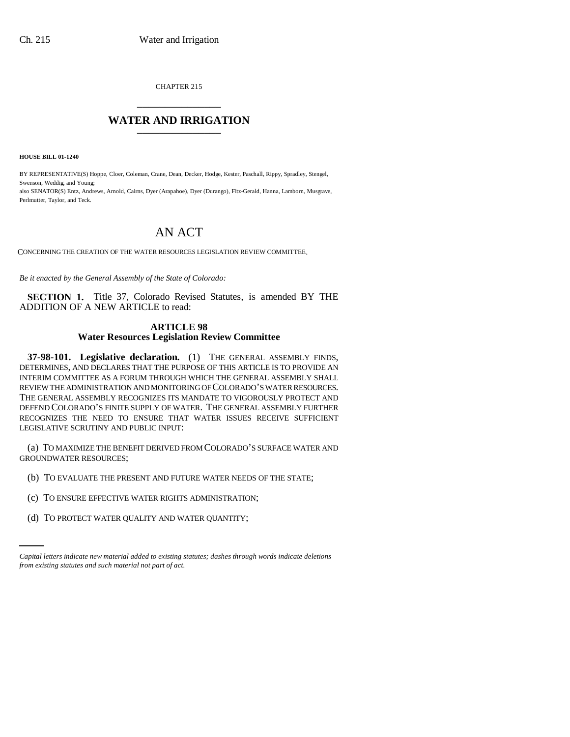CHAPTER 215 \_\_\_\_\_\_\_\_\_\_\_\_\_\_\_

## **WATER AND IRRIGATION** \_\_\_\_\_\_\_\_\_\_\_\_\_\_\_

**HOUSE BILL 01-1240**

BY REPRESENTATIVE(S) Hoppe, Cloer, Coleman, Crane, Dean, Decker, Hodge, Kester, Paschall, Rippy, Spradley, Stengel, Swenson, Weddig, and Young;

also SENATOR(S) Entz, Andrews, Arnold, Cairns, Dyer (Arapahoe), Dyer (Durango), Fitz-Gerald, Hanna, Lamborn, Musgrave, Perlmutter, Taylor, and Teck.

## AN ACT

CONCERNING THE CREATION OF THE WATER RESOURCES LEGISLATION REVIEW COMMITTEE.

*Be it enacted by the General Assembly of the State of Colorado:*

**SECTION 1.** Title 37, Colorado Revised Statutes, is amended BY THE ADDITION OF A NEW ARTICLE to read:

## **ARTICLE 98 Water Resources Legislation Review Committee**

**37-98-101. Legislative declaration.** (1) THE GENERAL ASSEMBLY FINDS, DETERMINES, AND DECLARES THAT THE PURPOSE OF THIS ARTICLE IS TO PROVIDE AN INTERIM COMMITTEE AS A FORUM THROUGH WHICH THE GENERAL ASSEMBLY SHALL REVIEW THE ADMINISTRATION AND MONITORING OF COLORADO'S WATER RESOURCES. THE GENERAL ASSEMBLY RECOGNIZES ITS MANDATE TO VIGOROUSLY PROTECT AND DEFEND COLORADO'S FINITE SUPPLY OF WATER. THE GENERAL ASSEMBLY FURTHER RECOGNIZES THE NEED TO ENSURE THAT WATER ISSUES RECEIVE SUFFICIENT LEGISLATIVE SCRUTINY AND PUBLIC INPUT:

(a) TO MAXIMIZE THE BENEFIT DERIVED FROM COLORADO'S SURFACE WATER AND GROUNDWATER RESOURCES;

- (b) TO EVALUATE THE PRESENT AND FUTURE WATER NEEDS OF THE STATE;
- (c) TO ENSURE EFFECTIVE WATER RIGHTS ADMINISTRATION;
	- (d) TO PROTECT WATER QUALITY AND WATER QUANTITY;

*Capital letters indicate new material added to existing statutes; dashes through words indicate deletions from existing statutes and such material not part of act.*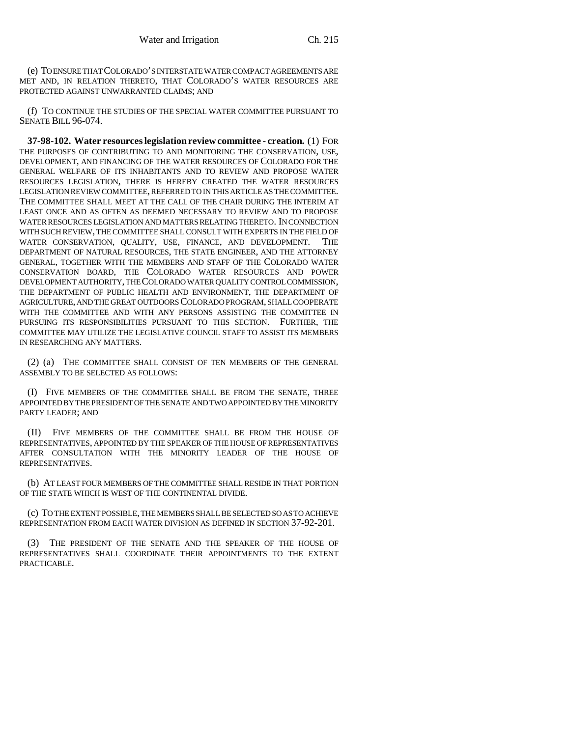(e) TO ENSURE THAT COLORADO'S INTERSTATE WATER COMPACT AGREEMENTS ARE MET AND, IN RELATION THERETO, THAT COLORADO'S WATER RESOURCES ARE PROTECTED AGAINST UNWARRANTED CLAIMS; AND

(f) TO CONTINUE THE STUDIES OF THE SPECIAL WATER COMMITTEE PURSUANT TO SENATE BILL 96-074.

**37-98-102. Water resources legislation review committee - creation.** (1) FOR THE PURPOSES OF CONTRIBUTING TO AND MONITORING THE CONSERVATION, USE, DEVELOPMENT, AND FINANCING OF THE WATER RESOURCES OF COLORADO FOR THE GENERAL WELFARE OF ITS INHABITANTS AND TO REVIEW AND PROPOSE WATER RESOURCES LEGISLATION, THERE IS HEREBY CREATED THE WATER RESOURCES LEGISLATION REVIEW COMMITTEE, REFERRED TO IN THIS ARTICLE AS THE COMMITTEE. THE COMMITTEE SHALL MEET AT THE CALL OF THE CHAIR DURING THE INTERIM AT LEAST ONCE AND AS OFTEN AS DEEMED NECESSARY TO REVIEW AND TO PROPOSE WATER RESOURCES LEGISLATION AND MATTERS RELATING THERETO. IN CONNECTION WITH SUCH REVIEW, THE COMMITTEE SHALL CONSULT WITH EXPERTS IN THE FIELD OF WATER CONSERVATION, QUALITY, USE, FINANCE, AND DEVELOPMENT. THE DEPARTMENT OF NATURAL RESOURCES, THE STATE ENGINEER, AND THE ATTORNEY GENERAL, TOGETHER WITH THE MEMBERS AND STAFF OF THE COLORADO WATER CONSERVATION BOARD, THE COLORADO WATER RESOURCES AND POWER DEVELOPMENT AUTHORITY, THE COLORADO WATER QUALITY CONTROL COMMISSION, THE DEPARTMENT OF PUBLIC HEALTH AND ENVIRONMENT, THE DEPARTMENT OF AGRICULTURE, AND THE GREAT OUTDOORS COLORADO PROGRAM, SHALL COOPERATE WITH THE COMMITTEE AND WITH ANY PERSONS ASSISTING THE COMMITTEE IN PURSUING ITS RESPONSIBILITIES PURSUANT TO THIS SECTION. FURTHER, THE COMMITTEE MAY UTILIZE THE LEGISLATIVE COUNCIL STAFF TO ASSIST ITS MEMBERS IN RESEARCHING ANY MATTERS.

(2) (a) THE COMMITTEE SHALL CONSIST OF TEN MEMBERS OF THE GENERAL ASSEMBLY TO BE SELECTED AS FOLLOWS:

(I) FIVE MEMBERS OF THE COMMITTEE SHALL BE FROM THE SENATE, THREE APPOINTED BY THE PRESIDENT OF THE SENATE AND TWO APPOINTED BY THE MINORITY PARTY LEADER; AND

(II) FIVE MEMBERS OF THE COMMITTEE SHALL BE FROM THE HOUSE OF REPRESENTATIVES, APPOINTED BY THE SPEAKER OF THE HOUSE OF REPRESENTATIVES AFTER CONSULTATION WITH THE MINORITY LEADER OF THE HOUSE OF REPRESENTATIVES.

(b) AT LEAST FOUR MEMBERS OF THE COMMITTEE SHALL RESIDE IN THAT PORTION OF THE STATE WHICH IS WEST OF THE CONTINENTAL DIVIDE.

(c) TO THE EXTENT POSSIBLE, THE MEMBERS SHALL BE SELECTED SO AS TO ACHIEVE REPRESENTATION FROM EACH WATER DIVISION AS DEFINED IN SECTION 37-92-201.

(3) THE PRESIDENT OF THE SENATE AND THE SPEAKER OF THE HOUSE OF REPRESENTATIVES SHALL COORDINATE THEIR APPOINTMENTS TO THE EXTENT PRACTICABLE.